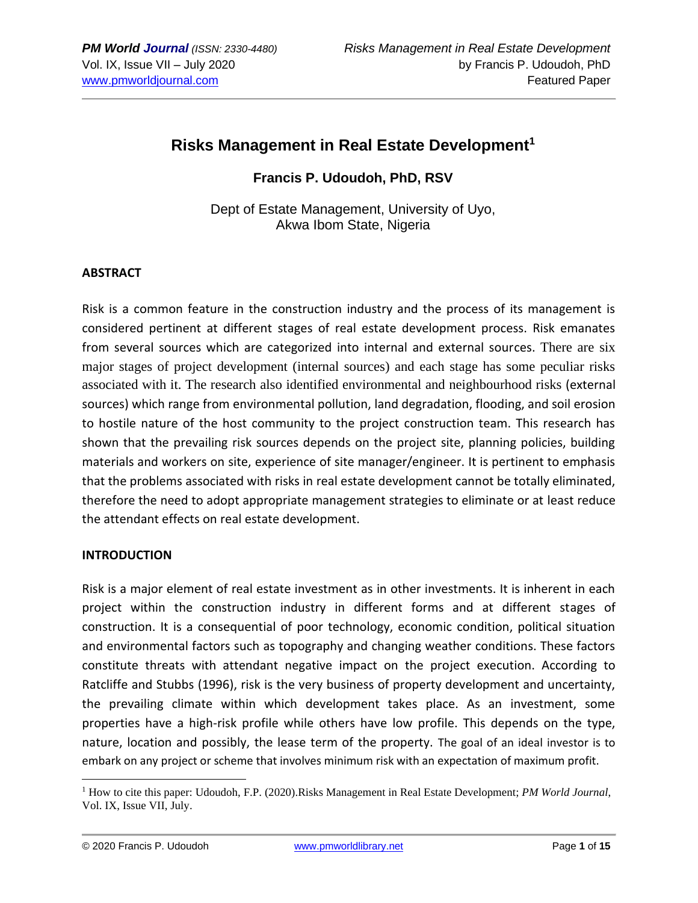# **Risks Management in Real Estate Development<sup>1</sup>**

**Francis P. Udoudoh, PhD, RSV**

Dept of Estate Management, University of Uyo, Akwa Ibom State, Nigeria

## **ABSTRACT**

Risk is a common feature in the construction industry and the process of its management is considered pertinent at different stages of real estate development process. Risk emanates from several sources which are categorized into internal and external sources. There are six major stages of project development (internal sources) and each stage has some peculiar risks associated with it. The research also identified environmental and neighbourhood risks (external sources) which range from environmental pollution, land degradation, flooding, and soil erosion to hostile nature of the host community to the project construction team. This research has shown that the prevailing risk sources depends on the project site, planning policies, building materials and workers on site, experience of site manager/engineer. It is pertinent to emphasis that the problems associated with risks in real estate development cannot be totally eliminated, therefore the need to adopt appropriate management strategies to eliminate or at least reduce the attendant effects on real estate development.

#### **INTRODUCTION**

Risk is a major element of real estate investment as in other investments. It is inherent in each project within the construction industry in different forms and at different stages of construction. It is a consequential of poor technology, economic condition, political situation and environmental factors such as topography and changing weather conditions. These factors constitute threats with attendant negative impact on the project execution. According to Ratcliffe and Stubbs (1996), risk is the very business of property development and uncertainty, the prevailing climate within which development takes place. As an investment, some properties have a high-risk profile while others have low profile. This depends on the type, nature, location and possibly, the lease term of the property. The goal of an ideal investor is to embark on any project or scheme that involves minimum risk with an expectation of maximum profit.

<sup>1</sup> How to cite this paper: Udoudoh, F.P. (2020).Risks Management in Real Estate Development; *PM World Journal*, Vol. IX, Issue VII, July.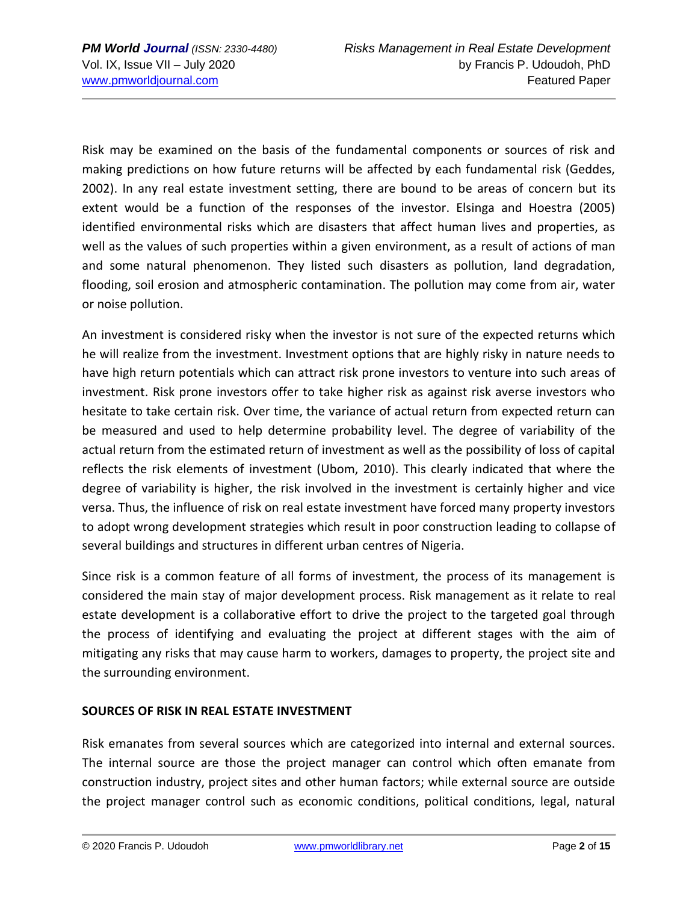Risk may be examined on the basis of the fundamental components or sources of risk and making predictions on how future returns will be affected by each fundamental risk (Geddes, 2002). In any real estate investment setting, there are bound to be areas of concern but its extent would be a function of the responses of the investor. Elsinga and Hoestra (2005) identified environmental risks which are disasters that affect human lives and properties, as well as the values of such properties within a given environment, as a result of actions of man and some natural phenomenon. They listed such disasters as pollution, land degradation, flooding, soil erosion and atmospheric contamination. The pollution may come from air, water or noise pollution.

An investment is considered risky when the investor is not sure of the expected returns which he will realize from the investment. Investment options that are highly risky in nature needs to have high return potentials which can attract risk prone investors to venture into such areas of investment. Risk prone investors offer to take higher risk as against risk averse investors who hesitate to take certain risk. Over time, the variance of actual return from expected return can be measured and used to help determine probability level. The degree of variability of the actual return from the estimated return of investment as well as the possibility of loss of capital reflects the risk elements of investment (Ubom, 2010). This clearly indicated that where the degree of variability is higher, the risk involved in the investment is certainly higher and vice versa. Thus, the influence of risk on real estate investment have forced many property investors to adopt wrong development strategies which result in poor construction leading to collapse of several buildings and structures in different urban centres of Nigeria.

Since risk is a common feature of all forms of investment, the process of its management is considered the main stay of major development process. Risk management as it relate to real estate development is a collaborative effort to drive the project to the targeted goal through the process of identifying and evaluating the project at different stages with the aim of mitigating any risks that may cause harm to workers, damages to property, the project site and the surrounding environment.

## **SOURCES OF RISK IN REAL ESTATE INVESTMENT**

Risk emanates from several sources which are categorized into internal and external sources. The internal source are those the project manager can control which often emanate from construction industry, project sites and other human factors; while external source are outside the project manager control such as economic conditions, political conditions, legal, natural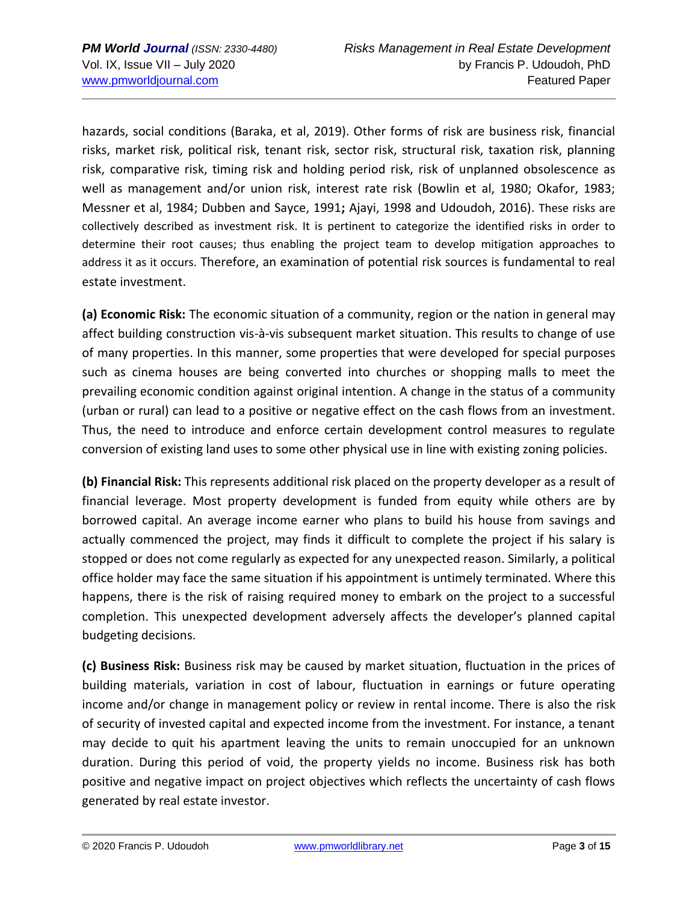hazards, social conditions (Baraka, et al, 2019). Other forms of risk are business risk, financial risks, market risk, political risk, tenant risk, sector risk, structural risk, taxation risk, planning risk, comparative risk, timing risk and holding period risk, risk of unplanned obsolescence as well as management and/or union risk, interest rate risk (Bowlin et al, 1980; Okafor, 1983; Messner et al, 1984; Dubben and Sayce, 1991**;** Ajayi, 1998 and Udoudoh, 2016). These risks are collectively described as investment risk. It is pertinent to categorize the identified risks in order to determine their root causes; thus enabling the project team to develop mitigation approaches to address it as it occurs. Therefore, an examination of potential risk sources is fundamental to real estate investment.

**(a) Economic Risk:** The economic situation of a community, region or the nation in general may affect building construction vis-à-vis subsequent market situation. This results to change of use of many properties. In this manner, some properties that were developed for special purposes such as cinema houses are being converted into churches or shopping malls to meet the prevailing economic condition against original intention. A change in the status of a community (urban or rural) can lead to a positive or negative effect on the cash flows from an investment. Thus, the need to introduce and enforce certain development control measures to regulate conversion of existing land uses to some other physical use in line with existing zoning policies.

**(b) Financial Risk:** This represents additional risk placed on the property developer as a result of financial leverage. Most property development is funded from equity while others are by borrowed capital. An average income earner who plans to build his house from savings and actually commenced the project, may finds it difficult to complete the project if his salary is stopped or does not come regularly as expected for any unexpected reason. Similarly, a political office holder may face the same situation if his appointment is untimely terminated. Where this happens, there is the risk of raising required money to embark on the project to a successful completion. This unexpected development adversely affects the developer's planned capital budgeting decisions.

**(c) Business Risk:** Business risk may be caused by market situation, fluctuation in the prices of building materials, variation in cost of labour, fluctuation in earnings or future operating income and/or change in management policy or review in rental income. There is also the risk of security of invested capital and expected income from the investment. For instance, a tenant may decide to quit his apartment leaving the units to remain unoccupied for an unknown duration. During this period of void, the property yields no income. Business risk has both positive and negative impact on project objectives which reflects the uncertainty of cash flows generated by real estate investor.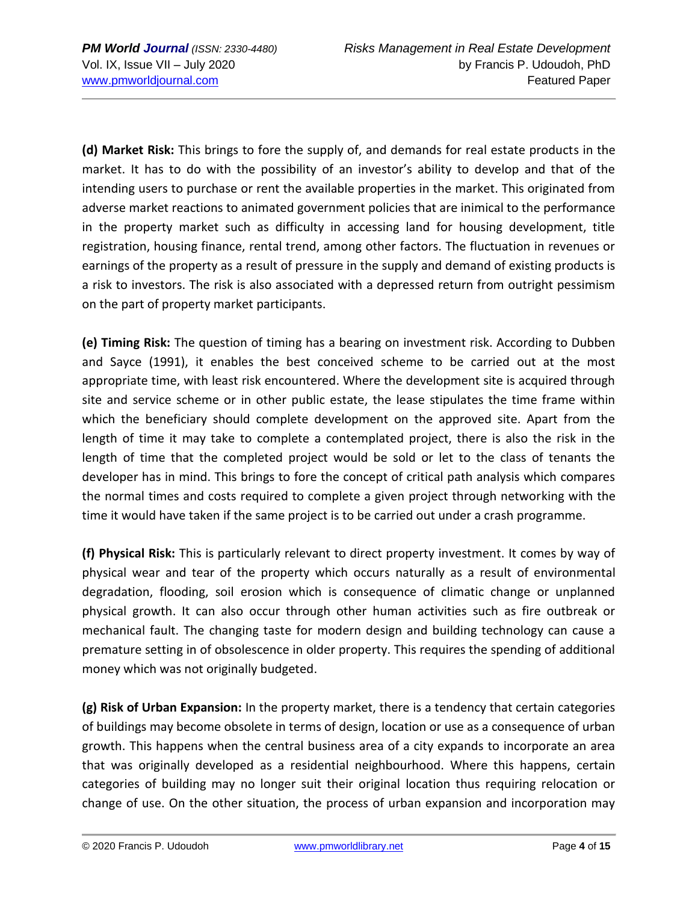**(d) Market Risk:** This brings to fore the supply of, and demands for real estate products in the market. It has to do with the possibility of an investor's ability to develop and that of the intending users to purchase or rent the available properties in the market. This originated from adverse market reactions to animated government policies that are inimical to the performance in the property market such as difficulty in accessing land for housing development, title registration, housing finance, rental trend, among other factors. The fluctuation in revenues or earnings of the property as a result of pressure in the supply and demand of existing products is a risk to investors. The risk is also associated with a depressed return from outright pessimism on the part of property market participants.

**(e) Timing Risk:** The question of timing has a bearing on investment risk. According to Dubben and Sayce (1991), it enables the best conceived scheme to be carried out at the most appropriate time, with least risk encountered. Where the development site is acquired through site and service scheme or in other public estate, the lease stipulates the time frame within which the beneficiary should complete development on the approved site. Apart from the length of time it may take to complete a contemplated project, there is also the risk in the length of time that the completed project would be sold or let to the class of tenants the developer has in mind. This brings to fore the concept of critical path analysis which compares the normal times and costs required to complete a given project through networking with the time it would have taken if the same project is to be carried out under a crash programme.

**(f) Physical Risk:** This is particularly relevant to direct property investment. It comes by way of physical wear and tear of the property which occurs naturally as a result of environmental degradation, flooding, soil erosion which is consequence of climatic change or unplanned physical growth. It can also occur through other human activities such as fire outbreak or mechanical fault. The changing taste for modern design and building technology can cause a premature setting in of obsolescence in older property. This requires the spending of additional money which was not originally budgeted.

**(g) Risk of Urban Expansion:** In the property market, there is a tendency that certain categories of buildings may become obsolete in terms of design, location or use as a consequence of urban growth. This happens when the central business area of a city expands to incorporate an area that was originally developed as a residential neighbourhood. Where this happens, certain categories of building may no longer suit their original location thus requiring relocation or change of use. On the other situation, the process of urban expansion and incorporation may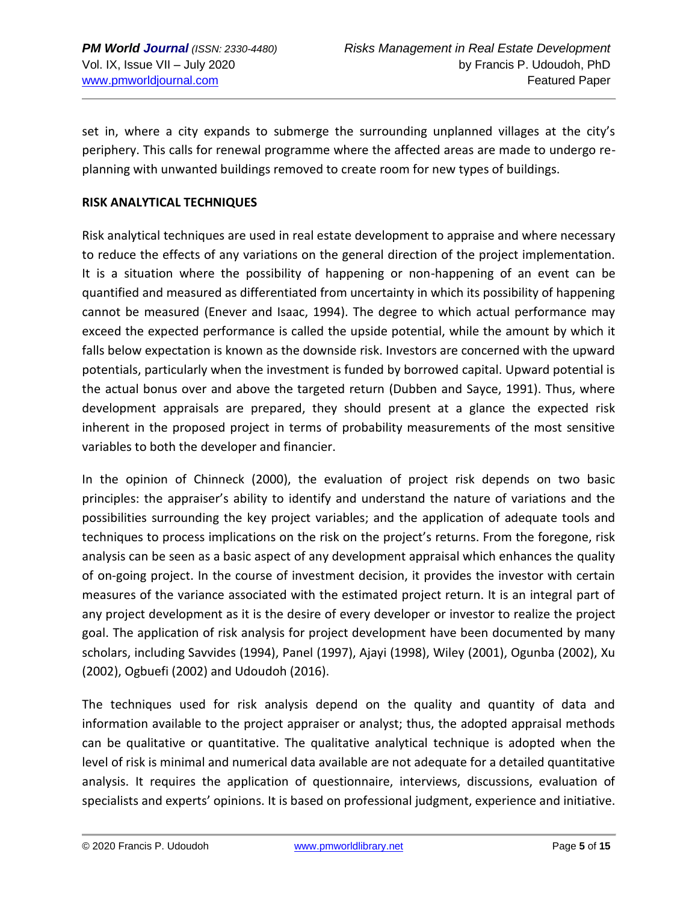set in, where a city expands to submerge the surrounding unplanned villages at the city's periphery. This calls for renewal programme where the affected areas are made to undergo replanning with unwanted buildings removed to create room for new types of buildings.

## **RISK ANALYTICAL TECHNIQUES**

Risk analytical techniques are used in real estate development to appraise and where necessary to reduce the effects of any variations on the general direction of the project implementation. It is a situation where the possibility of happening or non-happening of an event can be quantified and measured as differentiated from uncertainty in which its possibility of happening cannot be measured (Enever and Isaac, 1994). The degree to which actual performance may exceed the expected performance is called the upside potential, while the amount by which it falls below expectation is known as the downside risk. Investors are concerned with the upward potentials, particularly when the investment is funded by borrowed capital. Upward potential is the actual bonus over and above the targeted return (Dubben and Sayce, 1991). Thus, where development appraisals are prepared, they should present at a glance the expected risk inherent in the proposed project in terms of probability measurements of the most sensitive variables to both the developer and financier.

In the opinion of Chinneck (2000), the evaluation of project risk depends on two basic principles: the appraiser's ability to identify and understand the nature of variations and the possibilities surrounding the key project variables; and the application of adequate tools and techniques to process implications on the risk on the project's returns. From the foregone, risk analysis can be seen as a basic aspect of any development appraisal which enhances the quality of on-going project. In the course of investment decision, it provides the investor with certain measures of the variance associated with the estimated project return. It is an integral part of any project development as it is the desire of every developer or investor to realize the project goal. The application of risk analysis for project development have been documented by many scholars, including Savvides (1994), Panel (1997), Ajayi (1998), Wiley (2001), Ogunba (2002), Xu (2002), Ogbuefi (2002) and Udoudoh (2016).

The techniques used for risk analysis depend on the quality and quantity of data and information available to the project appraiser or analyst; thus, the adopted appraisal methods can be qualitative or quantitative. The qualitative analytical technique is adopted when the level of risk is minimal and numerical data available are not adequate for a detailed quantitative analysis. It requires the application of questionnaire, interviews, discussions, evaluation of specialists and experts' opinions. It is based on professional judgment, experience and initiative.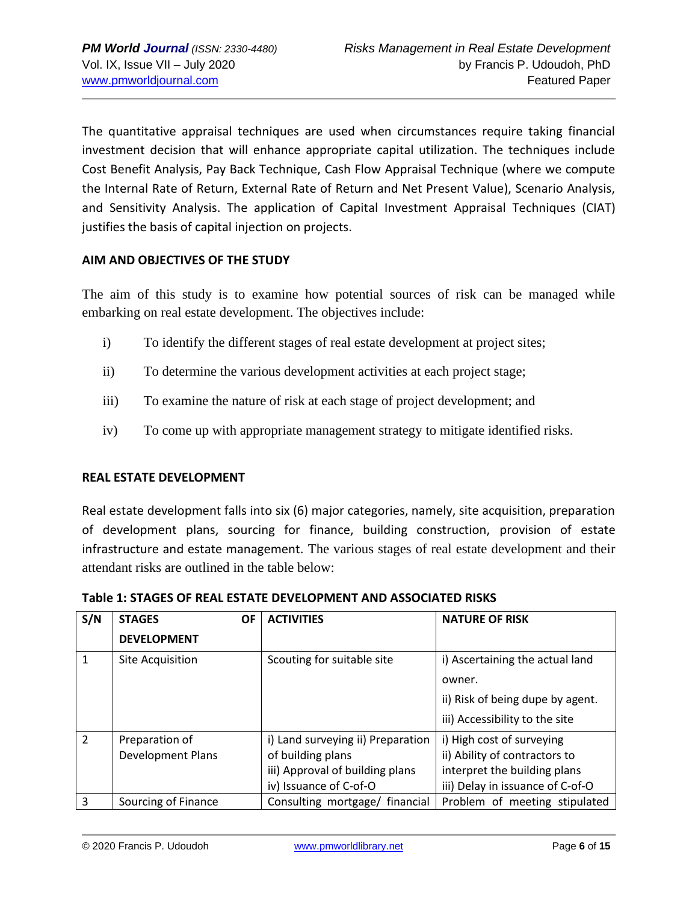The quantitative appraisal techniques are used when circumstances require taking financial investment decision that will enhance appropriate capital utilization. The techniques include Cost Benefit Analysis, Pay Back Technique, Cash Flow Appraisal Technique (where we compute the Internal Rate of Return, External Rate of Return and Net Present Value), Scenario Analysis, and Sensitivity Analysis. The application of Capital Investment Appraisal Techniques (CIAT) justifies the basis of capital injection on projects.

## **AIM AND OBJECTIVES OF THE STUDY**

The aim of this study is to examine how potential sources of risk can be managed while embarking on real estate development. The objectives include:

- i) To identify the different stages of real estate development at project sites;
- ii) To determine the various development activities at each project stage;
- iii) To examine the nature of risk at each stage of project development; and
- iv) To come up with appropriate management strategy to mitigate identified risks.

## **REAL ESTATE DEVELOPMENT**

Real estate development falls into six (6) major categories, namely, site acquisition, preparation of development plans, sourcing for finance, building construction, provision of estate infrastructure and estate management. The various stages of real estate development and their attendant risks are outlined in the table below:

| S/N            | <b>OF</b><br><b>STAGES</b> | <b>ACTIVITIES</b>                 | <b>NATURE OF RISK</b>            |  |
|----------------|----------------------------|-----------------------------------|----------------------------------|--|
|                | <b>DEVELOPMENT</b>         |                                   |                                  |  |
|                | Site Acquisition           | Scouting for suitable site        | i) Ascertaining the actual land  |  |
|                |                            |                                   | owner.                           |  |
|                |                            |                                   | ii) Risk of being dupe by agent. |  |
|                |                            |                                   | iii) Accessibility to the site   |  |
| $\overline{2}$ | Preparation of             | i) Land surveying ii) Preparation | i) High cost of surveying        |  |
|                | <b>Development Plans</b>   | of building plans                 | ii) Ability of contractors to    |  |
|                |                            | iii) Approval of building plans   | interpret the building plans     |  |
|                |                            | iv) Issuance of C-of-O            | iii) Delay in issuance of C-of-O |  |
| 3              | Sourcing of Finance        | Consulting mortgage/ financial    | Problem of meeting stipulated    |  |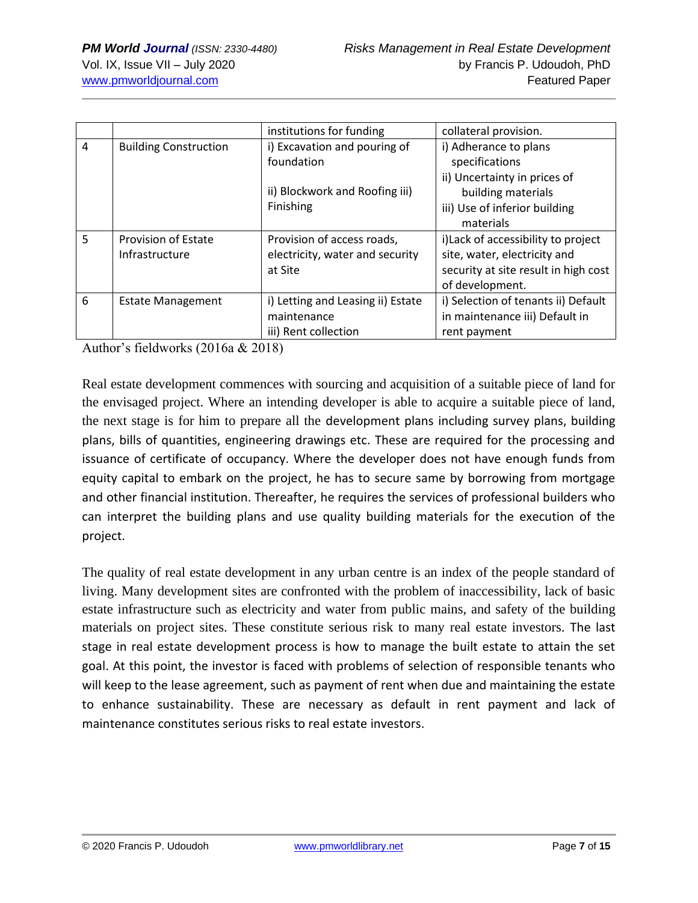|   |                                | institutions for funding          | collateral provision.                |  |
|---|--------------------------------|-----------------------------------|--------------------------------------|--|
| 4 | <b>Building Construction</b>   | i) Excavation and pouring of      | i) Adherance to plans                |  |
|   |                                | foundation                        | specifications                       |  |
|   |                                |                                   | ii) Uncertainty in prices of         |  |
|   | ii) Blockwork and Roofing iii) |                                   | building materials                   |  |
|   |                                | Finishing                         | iii) Use of inferior building        |  |
|   |                                |                                   | materials                            |  |
| 5 | <b>Provision of Estate</b>     | Provision of access roads,        | i) Lack of accessibility to project  |  |
|   | Infrastructure                 | electricity, water and security   | site, water, electricity and         |  |
|   |                                | at Site                           | security at site result in high cost |  |
|   |                                |                                   | of development.                      |  |
| 6 | <b>Estate Management</b>       | i) Letting and Leasing ii) Estate | i) Selection of tenants ii) Default  |  |
|   |                                | maintenance                       | in maintenance iii) Default in       |  |
|   |                                | iii) Rent collection              | rent payment                         |  |

Author's fieldworks (2016a & 2018)

Real estate development commences with sourcing and acquisition of a suitable piece of land for the envisaged project. Where an intending developer is able to acquire a suitable piece of land, the next stage is for him to prepare all the development plans including survey plans, building plans, bills of quantities, engineering drawings etc. These are required for the processing and issuance of certificate of occupancy. Where the developer does not have enough funds from equity capital to embark on the project, he has to secure same by borrowing from mortgage and other financial institution. Thereafter, he requires the services of professional builders who can interpret the building plans and use quality building materials for the execution of the project.

The quality of real estate development in any urban centre is an index of the people standard of living. Many development sites are confronted with the problem of inaccessibility, lack of basic estate infrastructure such as electricity and water from public mains, and safety of the building materials on project sites. These constitute serious risk to many real estate investors. The last stage in real estate development process is how to manage the built estate to attain the set goal. At this point, the investor is faced with problems of selection of responsible tenants who will keep to the lease agreement, such as payment of rent when due and maintaining the estate to enhance sustainability. These are necessary as default in rent payment and lack of maintenance constitutes serious risks to real estate investors.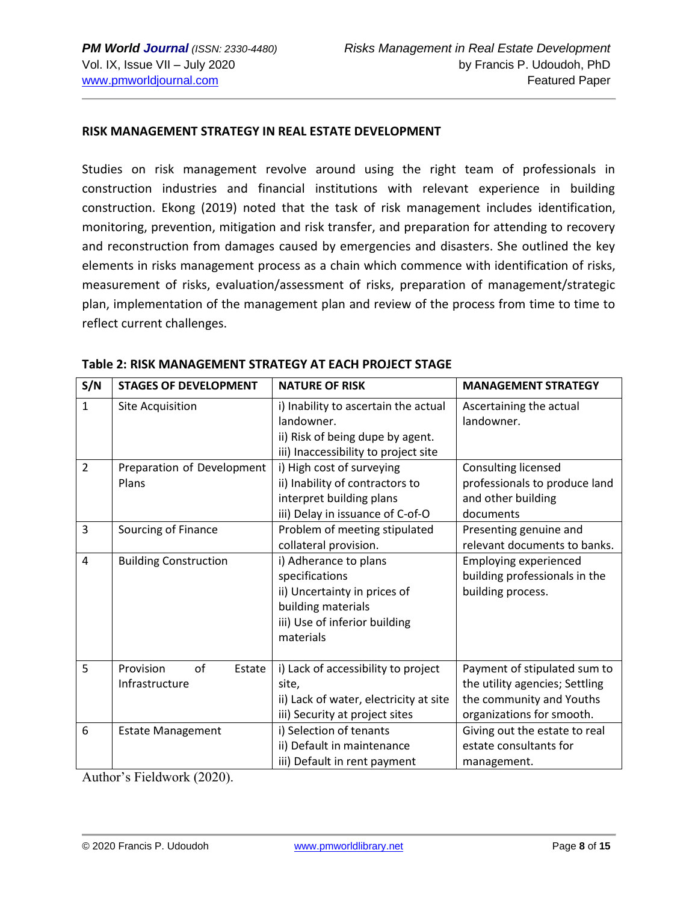#### **RISK MANAGEMENT STRATEGY IN REAL ESTATE DEVELOPMENT**

Studies on risk management revolve around using the right team of professionals in construction industries and financial institutions with relevant experience in building construction. Ekong (2019) noted that the task of risk management includes identification, monitoring, prevention, mitigation and risk transfer, and preparation for attending to recovery and reconstruction from damages caused by emergencies and disasters. She outlined the key elements in risks management process as a chain which commence with identification of risks, measurement of risks, evaluation/assessment of risks, preparation of management/strategic plan, implementation of the management plan and review of the process from time to time to reflect current challenges.

| S/N            | <b>STAGES OF DEVELOPMENT</b>                | <b>NATURE OF RISK</b>                                                                                                                       | <b>MANAGEMENT STRATEGY</b>                                                                                              |  |
|----------------|---------------------------------------------|---------------------------------------------------------------------------------------------------------------------------------------------|-------------------------------------------------------------------------------------------------------------------------|--|
| 1              | Site Acquisition                            | i) Inability to ascertain the actual<br>landowner.<br>ii) Risk of being dupe by agent.<br>iii) Inaccessibility to project site              | Ascertaining the actual<br>landowner.                                                                                   |  |
| $\overline{2}$ | Preparation of Development<br>Plans         | i) High cost of surveying<br>ii) Inability of contractors to<br>interpret building plans<br>iii) Delay in issuance of C-of-O                | Consulting licensed<br>professionals to produce land<br>and other building<br>documents                                 |  |
| 3              | Sourcing of Finance                         | Problem of meeting stipulated<br>collateral provision.                                                                                      | Presenting genuine and<br>relevant documents to banks.                                                                  |  |
| $\overline{4}$ | <b>Building Construction</b>                | i) Adherance to plans<br>specifications<br>ii) Uncertainty in prices of<br>building materials<br>iii) Use of inferior building<br>materials | <b>Employing experienced</b><br>building professionals in the<br>building process.                                      |  |
| 5              | of<br>Provision<br>Estate<br>Infrastructure | i) Lack of accessibility to project<br>site,<br>ii) Lack of water, electricity at site<br>iii) Security at project sites                    | Payment of stipulated sum to<br>the utility agencies; Settling<br>the community and Youths<br>organizations for smooth. |  |
| 6              | <b>Estate Management</b>                    | i) Selection of tenants<br>ii) Default in maintenance<br>iii) Default in rent payment                                                       | Giving out the estate to real<br>estate consultants for<br>management.                                                  |  |

**Table 2: RISK MANAGEMENT STRATEGY AT EACH PROJECT STAGE**

Author's Fieldwork (2020).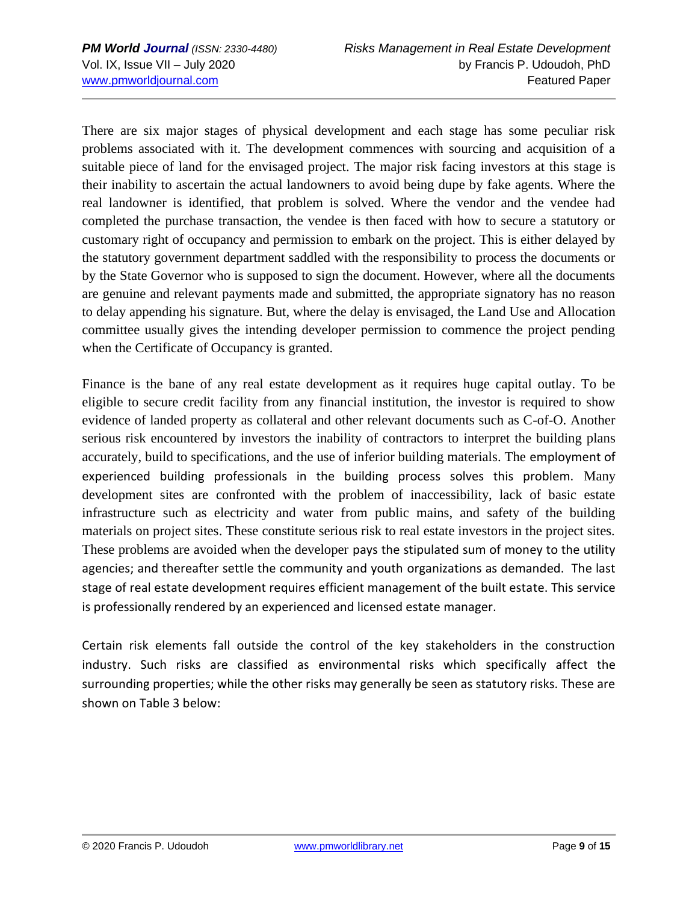There are six major stages of physical development and each stage has some peculiar risk problems associated with it. The development commences with sourcing and acquisition of a suitable piece of land for the envisaged project. The major risk facing investors at this stage is their inability to ascertain the actual landowners to avoid being dupe by fake agents. Where the real landowner is identified, that problem is solved. Where the vendor and the vendee had completed the purchase transaction, the vendee is then faced with how to secure a statutory or customary right of occupancy and permission to embark on the project. This is either delayed by the statutory government department saddled with the responsibility to process the documents or by the State Governor who is supposed to sign the document. However, where all the documents are genuine and relevant payments made and submitted, the appropriate signatory has no reason to delay appending his signature. But, where the delay is envisaged, the Land Use and Allocation committee usually gives the intending developer permission to commence the project pending when the Certificate of Occupancy is granted.

Finance is the bane of any real estate development as it requires huge capital outlay. To be eligible to secure credit facility from any financial institution, the investor is required to show evidence of landed property as collateral and other relevant documents such as C-of-O. Another serious risk encountered by investors the inability of contractors to interpret the building plans accurately, build to specifications, and the use of inferior building materials. The employment of experienced building professionals in the building process solves this problem. Many development sites are confronted with the problem of inaccessibility, lack of basic estate infrastructure such as electricity and water from public mains, and safety of the building materials on project sites. These constitute serious risk to real estate investors in the project sites. These problems are avoided when the developer pays the stipulated sum of money to the utility agencies; and thereafter settle the community and youth organizations as demanded. The last stage of real estate development requires efficient management of the built estate. This service is professionally rendered by an experienced and licensed estate manager.

Certain risk elements fall outside the control of the key stakeholders in the construction industry. Such risks are classified as environmental risks which specifically affect the surrounding properties; while the other risks may generally be seen as statutory risks. These are shown on Table 3 below: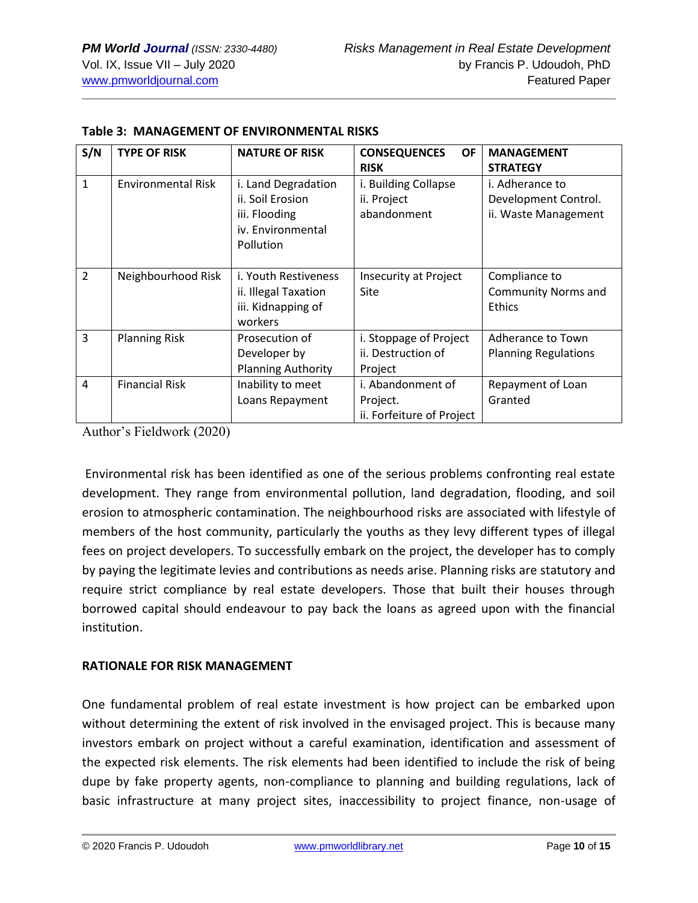| S/N            | <b>TYPE OF RISK</b>       | <b>NATURE OF RISK</b>     | <b>OF</b><br><b>CONSEQUENCES</b> | <b>MANAGEMENT</b>           |  |
|----------------|---------------------------|---------------------------|----------------------------------|-----------------------------|--|
|                |                           |                           | <b>RISK</b>                      | <b>STRATEGY</b>             |  |
| $\mathbf{1}$   | <b>Environmental Risk</b> | i. Land Degradation       | i. Building Collapse             | i. Adherance to             |  |
|                |                           | ii. Soil Erosion          | ii. Project                      | Development Control.        |  |
|                |                           | iii. Flooding             | abandonment                      | ii. Waste Management        |  |
|                |                           | iv. Environmental         |                                  |                             |  |
|                |                           | Pollution                 |                                  |                             |  |
|                |                           |                           |                                  |                             |  |
| $\overline{2}$ | Neighbourhood Risk        | i. Youth Restiveness      | <b>Insecurity at Project</b>     | Compliance to               |  |
|                |                           | ii. Illegal Taxation      | Site                             | <b>Community Norms and</b>  |  |
|                |                           | iii. Kidnapping of        |                                  | Ethics                      |  |
|                |                           | workers                   |                                  |                             |  |
| 3              | <b>Planning Risk</b>      | Prosecution of            | i. Stoppage of Project           | Adherance to Town           |  |
|                |                           | Developer by              | ii. Destruction of               | <b>Planning Regulations</b> |  |
|                |                           | <b>Planning Authority</b> | Project                          |                             |  |
| $\overline{a}$ | <b>Financial Risk</b>     | Inability to meet         | i. Abandonment of                | Repayment of Loan           |  |
|                |                           | Loans Repayment           | Project.                         | Granted                     |  |
|                |                           |                           | ii. Forfeiture of Project        |                             |  |

#### **Table 3: MANAGEMENT OF ENVIRONMENTAL RISKS**

Author's Fieldwork (2020)

Environmental risk has been identified as one of the serious problems confronting real estate development. They range from environmental pollution, land degradation, flooding, and soil erosion to atmospheric contamination. The neighbourhood risks are associated with lifestyle of members of the host community, particularly the youths as they levy different types of illegal fees on project developers. To successfully embark on the project, the developer has to comply by paying the legitimate levies and contributions as needs arise. Planning risks are statutory and require strict compliance by real estate developers. Those that built their houses through borrowed capital should endeavour to pay back the loans as agreed upon with the financial institution.

#### **RATIONALE FOR RISK MANAGEMENT**

One fundamental problem of real estate investment is how project can be embarked upon without determining the extent of risk involved in the envisaged project. This is because many investors embark on project without a careful examination, identification and assessment of the expected risk elements. The risk elements had been identified to include the risk of being dupe by fake property agents, non-compliance to planning and building regulations, lack of basic infrastructure at many project sites, inaccessibility to project finance, non-usage of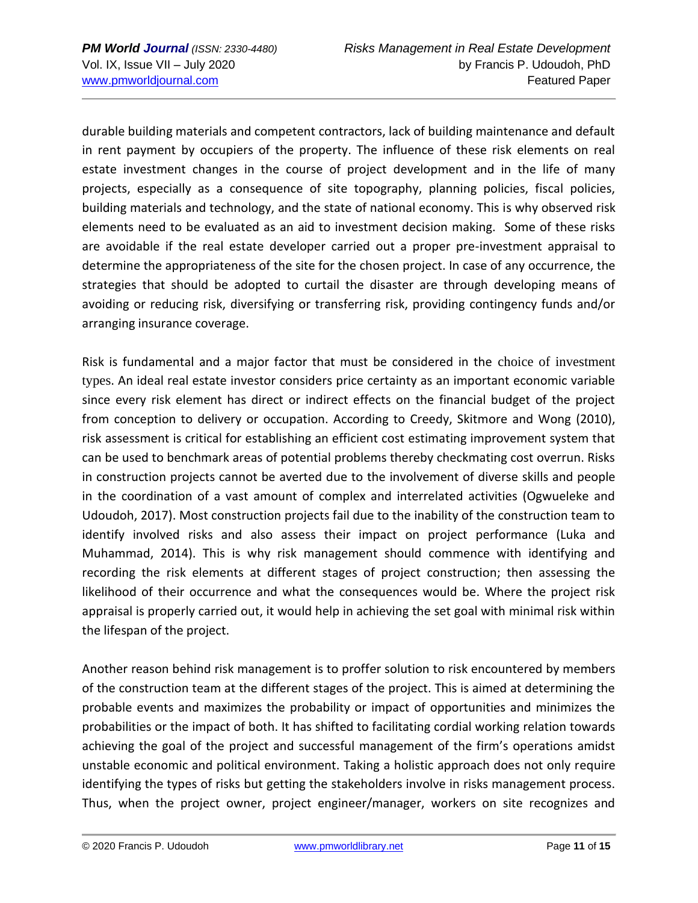durable building materials and competent contractors, lack of building maintenance and default in rent payment by occupiers of the property. The influence of these risk elements on real estate investment changes in the course of project development and in the life of many projects, especially as a consequence of site topography, planning policies, fiscal policies, building materials and technology, and the state of national economy. This is why observed risk elements need to be evaluated as an aid to investment decision making. Some of these risks are avoidable if the real estate developer carried out a proper pre-investment appraisal to determine the appropriateness of the site for the chosen project. In case of any occurrence, the strategies that should be adopted to curtail the disaster are through developing means of avoiding or reducing risk, diversifying or transferring risk, providing contingency funds and/or arranging insurance coverage.

Risk is fundamental and a major factor that must be considered in the choice of investment types. An ideal real estate investor considers price certainty as an important economic variable since every risk element has direct or indirect effects on the financial budget of the project from conception to delivery or occupation. According to Creedy, Skitmore and Wong (2010), risk assessment is critical for establishing an efficient cost estimating improvement system that can be used to benchmark areas of potential problems thereby checkmating cost overrun. Risks in construction projects cannot be averted due to the involvement of diverse skills and people in the coordination of a vast amount of complex and interrelated activities (Ogwueleke and Udoudoh, 2017). Most construction projects fail due to the inability of the construction team to identify involved risks and also assess their impact on project performance (Luka and Muhammad, 2014). This is why risk management should commence with identifying and recording the risk elements at different stages of project construction; then assessing the likelihood of their occurrence and what the consequences would be. Where the project risk appraisal is properly carried out, it would help in achieving the set goal with minimal risk within the lifespan of the project.

Another reason behind risk management is to proffer solution to risk encountered by members of the construction team at the different stages of the project. This is aimed at determining the probable events and maximizes the probability or impact of opportunities and minimizes the probabilities or the impact of both. It has shifted to facilitating cordial working relation towards achieving the goal of the project and successful management of the firm's operations amidst unstable economic and political environment. Taking a holistic approach does not only require identifying the types of risks but getting the stakeholders involve in risks management process. Thus, when the project owner, project engineer/manager, workers on site recognizes and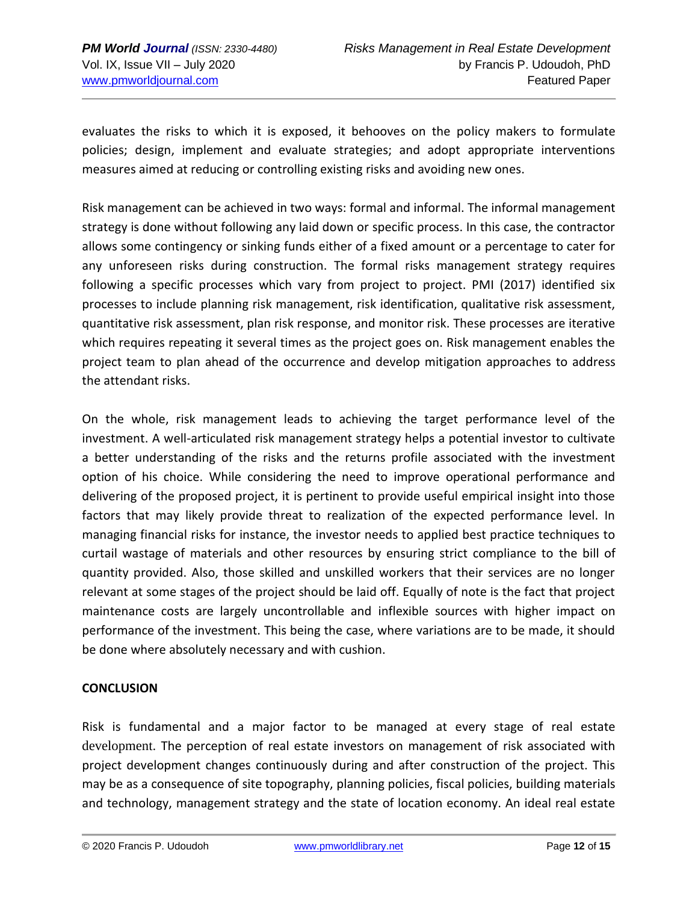evaluates the risks to which it is exposed, it behooves on the policy makers to formulate policies; design, implement and evaluate strategies; and adopt appropriate interventions measures aimed at reducing or controlling existing risks and avoiding new ones.

Risk management can be achieved in two ways: formal and informal. The informal management strategy is done without following any laid down or specific process. In this case, the contractor allows some contingency or sinking funds either of a fixed amount or a percentage to cater for any unforeseen risks during construction. The formal risks management strategy requires following a specific processes which vary from project to project. PMI (2017) identified six processes to include planning risk management, risk identification, qualitative risk assessment, quantitative risk assessment, plan risk response, and monitor risk. These processes are iterative which requires repeating it several times as the project goes on. Risk management enables the project team to plan ahead of the occurrence and develop mitigation approaches to address the attendant risks.

On the whole, risk management leads to achieving the target performance level of the investment. A well-articulated risk management strategy helps a potential investor to cultivate a better understanding of the risks and the returns profile associated with the investment option of his choice. While considering the need to improve operational performance and delivering of the proposed project, it is pertinent to provide useful empirical insight into those factors that may likely provide threat to realization of the expected performance level. In managing financial risks for instance, the investor needs to applied best practice techniques to curtail wastage of materials and other resources by ensuring strict compliance to the bill of quantity provided. Also, those skilled and unskilled workers that their services are no longer relevant at some stages of the project should be laid off. Equally of note is the fact that project maintenance costs are largely uncontrollable and inflexible sources with higher impact on performance of the investment. This being the case, where variations are to be made, it should be done where absolutely necessary and with cushion.

## **CONCLUSION**

Risk is fundamental and a major factor to be managed at every stage of real estate development. The perception of real estate investors on management of risk associated with project development changes continuously during and after construction of the project. This may be as a consequence of site topography, planning policies, fiscal policies, building materials and technology, management strategy and the state of location economy. An ideal real estate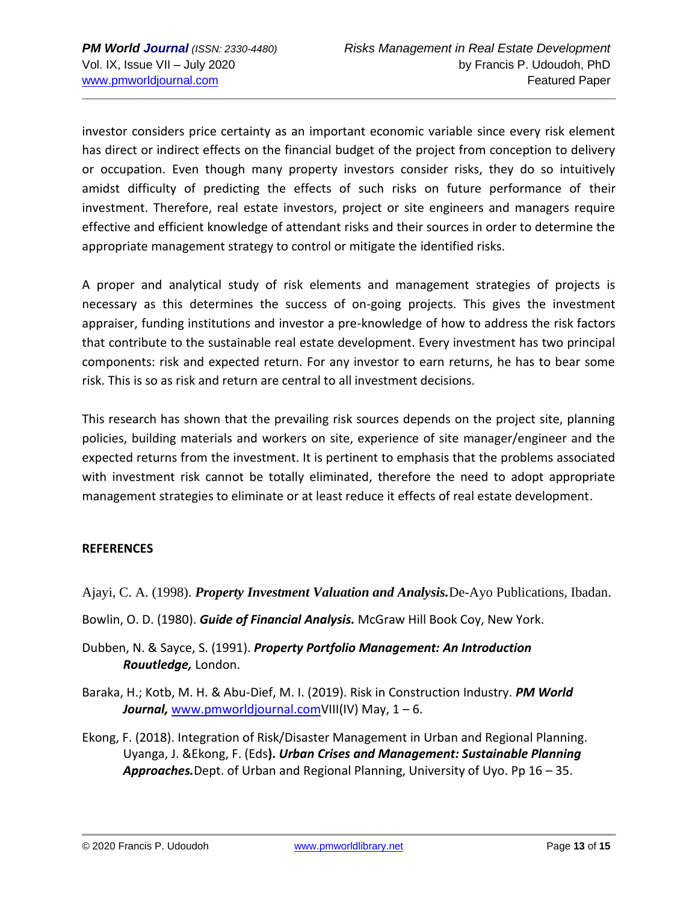investor considers price certainty as an important economic variable since every risk element has direct or indirect effects on the financial budget of the project from conception to delivery or occupation. Even though many property investors consider risks, they do so intuitively amidst difficulty of predicting the effects of such risks on future performance of their investment. Therefore, real estate investors, project or site engineers and managers require effective and efficient knowledge of attendant risks and their sources in order to determine the appropriate management strategy to control or mitigate the identified risks.

A proper and analytical study of risk elements and management strategies of projects is necessary as this determines the success of on-going projects. This gives the investment appraiser, funding institutions and investor a pre-knowledge of how to address the risk factors that contribute to the sustainable real estate development. Every investment has two principal components: risk and expected return. For any investor to earn returns, he has to bear some risk. This is so as risk and return are central to all investment decisions.

This research has shown that the prevailing risk sources depends on the project site, planning policies, building materials and workers on site, experience of site manager/engineer and the expected returns from the investment. It is pertinent to emphasis that the problems associated with investment risk cannot be totally eliminated, therefore the need to adopt appropriate management strategies to eliminate or at least reduce it effects of real estate development.

## **REFERENCES**

## Ajayi, C. A. (1998). *Property Investment Valuation and Analysis.*De-Ayo Publications, Ibadan.

- Bowlin, O. D. (1980). *Guide of Financial Analysis.* McGraw Hill Book Coy, New York.
- Dubben, N. & Sayce, S. (1991). *Property Portfolio Management: An Introduction Rouutledge,* London.
- Baraka, H.; Kotb, M. H. & Abu-Dief, M. I. (2019). Risk in Construction Industry. *PM World Journal,* [www.pmworldjournal.comV](http://www.pmworldjournal.com/)III(IV) May, 1 – 6.
- Ekong, F. (2018). Integration of Risk/Disaster Management in Urban and Regional Planning. Uyanga, J. &Ekong, F. (Eds**).** *Urban Crises and Management: Sustainable Planning Approaches.*Dept. of Urban and Regional Planning, University of Uyo. Pp 16 – 35.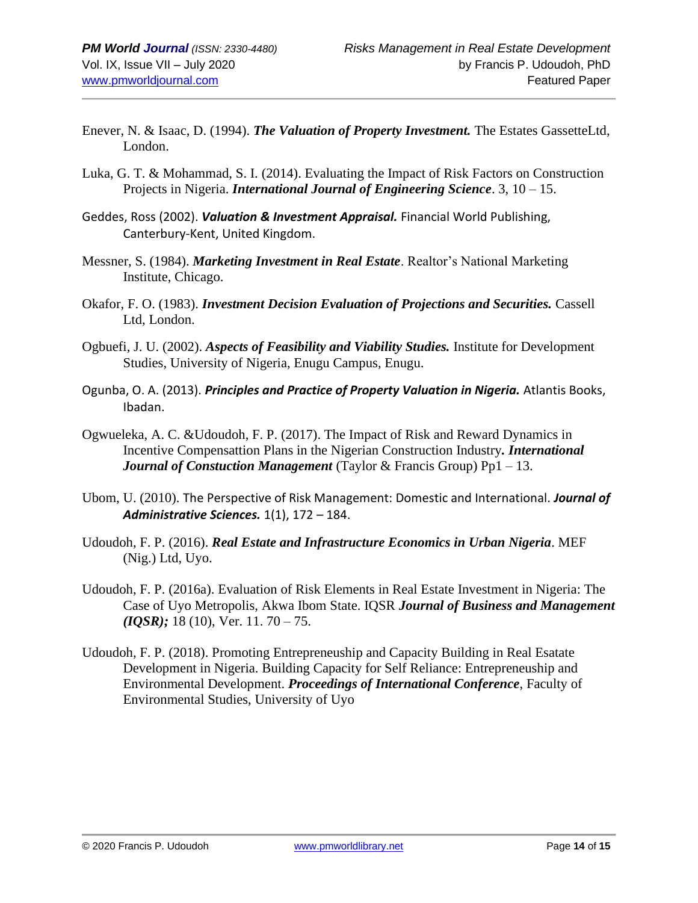- Enever, N. & Isaac, D. (1994). *The Valuation of Property Investment.* The Estates GassetteLtd, London.
- Luka, G. T. & Mohammad, S. I. (2014). Evaluating the Impact of Risk Factors on Construction Projects in Nigeria. *International Journal of Engineering Science*. 3, 10 – 15.
- Geddes, Ross (2002). *Valuation & Investment Appraisal.* Financial World Publishing, Canterbury-Kent, United Kingdom.
- Messner, S. (1984). *Marketing Investment in Real Estate*. Realtor's National Marketing Institute, Chicago.
- Okafor, F. O. (1983). *Investment Decision Evaluation of Projections and Securities.* Cassell Ltd, London.
- Ogbuefi, J. U. (2002). *Aspects of Feasibility and Viability Studies.* Institute for Development Studies, University of Nigeria, Enugu Campus, Enugu.
- Ogunba, O. A. (2013). *Principles and Practice of Property Valuation in Nigeria.* Atlantis Books, Ibadan.
- Ogwueleka, A. C. &Udoudoh, F. P. (2017). The Impact of Risk and Reward Dynamics in Incentive Compensattion Plans in the Nigerian Construction Industry*. International Journal of Constuction Management* (Taylor & Francis Group) Pp1 – 13.
- Ubom, U. (2010). The Perspective of Risk Management: Domestic and International. *Journal of Administrative Sciences.* 1(1), 172 – 184.
- Udoudoh, F. P. (2016). *Real Estate and Infrastructure Economics in Urban Nigeria*. MEF (Nig.) Ltd, Uyo.
- Udoudoh, F. P. (2016a). Evaluation of Risk Elements in Real Estate Investment in Nigeria: The Case of Uyo Metropolis, Akwa Ibom State. IQSR *Journal of Business and Management (IQSR);* 18 (10), Ver. 11. 70 – 75.
- Udoudoh, F. P. (2018). Promoting Entrepreneuship and Capacity Building in Real Esatate Development in Nigeria. Building Capacity for Self Reliance: Entrepreneuship and Environmental Development. *Proceedings of International Conference*, Faculty of Environmental Studies, University of Uyo